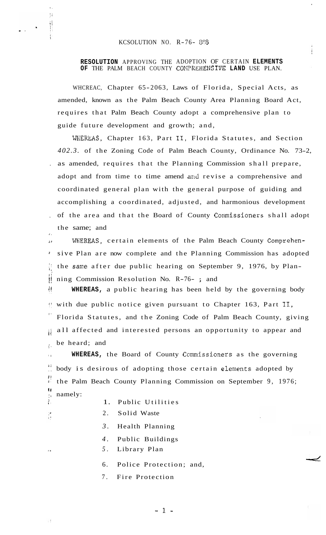..

Ħ

 $\begin{aligned} \frac{1}{2} \left( \frac{1}{2} \right) & = \frac{1}{2} \left( \frac{1}{2} \right) \left( \frac{1}{2} \right) \\ \frac{1}{2} \left( \frac{1}{2} \right) & = \frac{1}{2} \left( \frac{1}{2} \right) \left( \frac{1}{2} \right) \left( \frac{1}{2} \right) \\ \frac{1}{2} \left( \frac{1}{2} \right) & = \frac{1}{2} \left( \frac{1}{2} \right) \left( \frac{1}{2} \right) \left( \frac{1}{2} \right) \\ \frac{1}{2} \left( \frac{1}{2} \right) &$ 

I.

## **RESOLUTION** APPROVING THE ADOPTION OF CERTAIN **ELEMENTS**  OF THE PALM BEACH COUNTY COMPREHENSIVE LAND USE PLAN.

WHCREAC, Chapter 65-2063, Laws of Florida, Special Acts, as amended, known as the Palm Beach County Area Planning Board Act, requires that Palm Beach County adopt a comprehensive plan to guide future development and growth; and,

WHEREAS, Chapter 163, Part **11,** Florida Statutes, and Section *402.3.* of the Zoning Code of Palm Beach County, Ordinance No. 73-2, . as amended, requires that the Planning Commission shall prepare, adopt and from time to time amend and revise a comprehensive and coordinated general plan with the general purpose of guiding and accomplishing a coordinated, adjusted, and harmonious development , of the area and that the Board of County Commissioners shall adopt the same; and  $\mathbf{r}$ 

 $\mu$  WHEREAS, certain elements of the Palm Beach County Comprehensive Plan are now complete and the Planning Commission has adopted the same after due public hearing on September 9, 1976, by Plan-|| ning Commission Resolution No.  $R-76-$ ; and '. **'I** 

**WHEREAS,** a public hearing has been held by the governing body *x;* with due public notice given pursuant to Chapter 163, Part **11,**  i. Florida Statutes, and the Zoning Code of Palm Beach County, giving *ii* all affected and interested persons an opportunity to appear and  $\lambda$  be heard; and

**WHEREAS, the Board of County Commissioners as the governing** *i!*  body is desirous of adopting those certain elements adopted by **r!**  the Palm Beach County Planning Commission on September 9, 1976; **I!**   $\lim_{h \to 0}$  namely:

- 1. Public Utilities
- 2. Solid Waste
- *3.* Health Planning
- *4.* Public Buildings
- **\*I** *5.* Library Plan
	- 6. Police Protection; and,
	- 7. Fire Protection

**-1-**